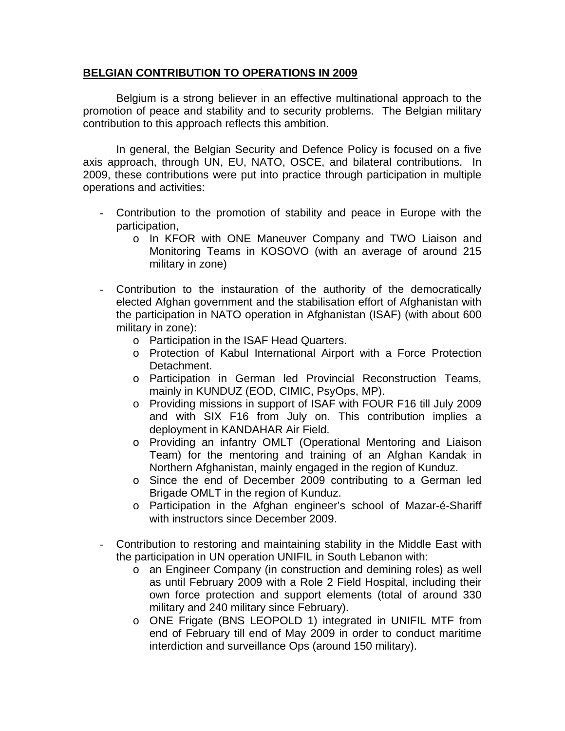## **BELGIAN CONTRIBUTION TO OPERATIONS IN 2009**

 Belgium is a strong believer in an effective multinational approach to the promotion of peace and stability and to security problems. The Belgian military contribution to this approach reflects this ambition.

 In general, the Belgian Security and Defence Policy is focused on a five axis approach, through UN, EU, NATO, OSCE, and bilateral contributions. In 2009, these contributions were put into practice through participation in multiple operations and activities:

- Contribution to the promotion of stability and peace in Europe with the participation,
	- o In KFOR with ONE Maneuver Company and TWO Liaison and Monitoring Teams in KOSOVO (with an average of around 215 military in zone)
- Contribution to the instauration of the authority of the democratically elected Afghan government and the stabilisation effort of Afghanistan with the participation in NATO operation in Afghanistan (ISAF) (with about 600 military in zone):
	- o Participation in the ISAF Head Quarters.
	- o Protection of Kabul International Airport with a Force Protection Detachment.
	- o Participation in German led Provincial Reconstruction Teams, mainly in KUNDUZ (EOD, CIMIC, PsyOps, MP).
	- o Providing missions in support of ISAF with FOUR F16 till July 2009 and with SIX F16 from July on. This contribution implies a deployment in KANDAHAR Air Field.
	- o Providing an infantry OMLT (Operational Mentoring and Liaison Team) for the mentoring and training of an Afghan Kandak in Northern Afghanistan, mainly engaged in the region of Kunduz.
	- o Since the end of December 2009 contributing to a German led Brigade OMLT in the region of Kunduz.
	- o Participation in the Afghan engineer's school of Mazar-é-Shariff with instructors since December 2009.
- Contribution to restoring and maintaining stability in the Middle East with the participation in UN operation UNIFIL in South Lebanon with:
	- o an Engineer Company (in construction and demining roles) as well as until February 2009 with a Role 2 Field Hospital, including their own force protection and support elements (total of around 330 military and 240 military since February).
	- o ONE Frigate (BNS LEOPOLD 1) integrated in UNIFIL MTF from end of February till end of May 2009 in order to conduct maritime interdiction and surveillance Ops (around 150 military).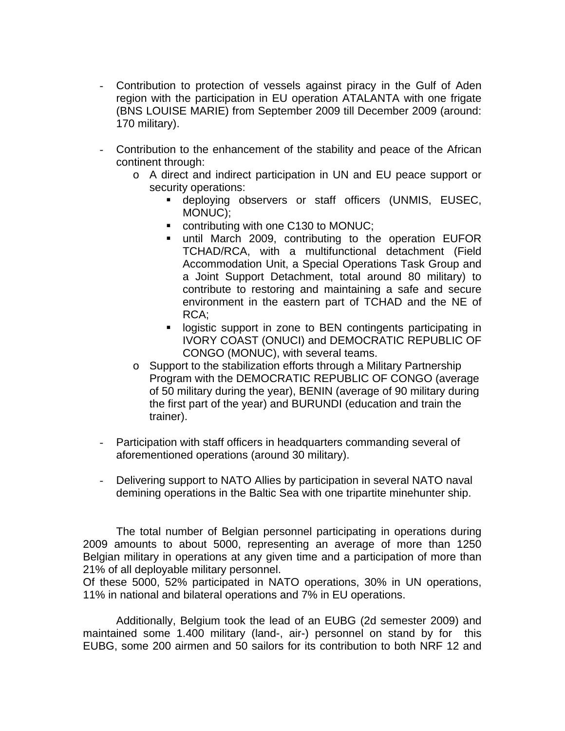- Contribution to protection of vessels against piracy in the Gulf of Aden region with the participation in EU operation ATALANTA with one frigate (BNS LOUISE MARIE) from September 2009 till December 2009 (around: 170 military).
- Contribution to the enhancement of the stability and peace of the African continent through:
	- o A direct and indirect participation in UN and EU peace support or security operations:
		- deploying observers or staff officers (UNMIS, EUSEC, MONUC);
		- contributing with one C130 to MONUC;
		- until March 2009, contributing to the operation EUFOR TCHAD/RCA, with a multifunctional detachment (Field Accommodation Unit, a Special Operations Task Group and a Joint Support Detachment, total around 80 military) to contribute to restoring and maintaining a safe and secure environment in the eastern part of TCHAD and the NE of RCA;
		- **-** logistic support in zone to BEN contingents participating in IVORY COAST (ONUCI) and DEMOCRATIC REPUBLIC OF CONGO (MONUC), with several teams.
	- o Support to the stabilization efforts through a Military Partnership Program with the DEMOCRATIC REPUBLIC OF CONGO (average of 50 military during the year), BENIN (average of 90 military during the first part of the year) and BURUNDI (education and train the trainer).
- Participation with staff officers in headquarters commanding several of aforementioned operations (around 30 military).
- Delivering support to NATO Allies by participation in several NATO naval demining operations in the Baltic Sea with one tripartite minehunter ship.

 The total number of Belgian personnel participating in operations during 2009 amounts to about 5000, representing an average of more than 1250 Belgian military in operations at any given time and a participation of more than 21% of all deployable military personnel.

Of these 5000, 52% participated in NATO operations, 30% in UN operations, 11% in national and bilateral operations and 7% in EU operations.

 Additionally, Belgium took the lead of an EUBG (2d semester 2009) and maintained some 1.400 military (land-, air-) personnel on stand by for this EUBG, some 200 airmen and 50 sailors for its contribution to both NRF 12 and